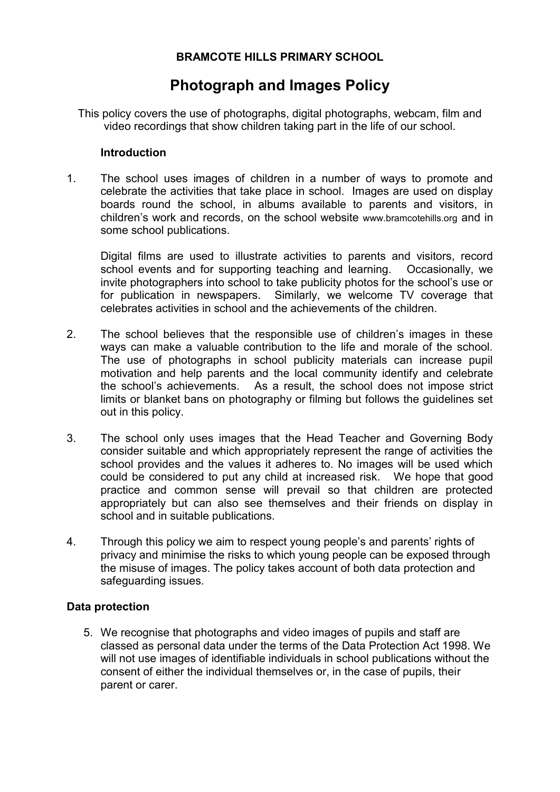### **BRAMCOTE HILLS PRIMARY SCHOOL**

# **Photograph and Images Policy**

This policy covers the use of photographs, digital photographs, webcam, film and video recordings that show children taking part in the life of our school.

#### **Introduction**

1. The school uses images of children in a number of ways to promote and celebrate the activities that take place in school. Images are used on display boards round the school, in albums available to parents and visitors, in children's work and records, on the school website www.bramcotehills.org and in some school publications.

Digital films are used to illustrate activities to parents and visitors, record school events and for supporting teaching and learning. Occasionally, we invite photographers into school to take publicity photos for the school's use or for publication in newspapers. Similarly, we welcome TV coverage that celebrates activities in school and the achievements of the children.

- 2. The school believes that the responsible use of children's images in these ways can make a valuable contribution to the life and morale of the school. The use of photographs in school publicity materials can increase pupil motivation and help parents and the local community identify and celebrate the school's achievements. As a result, the school does not impose strict limits or blanket bans on photography or filming but follows the guidelines set out in this policy.
- 3. The school only uses images that the Head Teacher and Governing Body consider suitable and which appropriately represent the range of activities the school provides and the values it adheres to. No images will be used which could be considered to put any child at increased risk. We hope that good practice and common sense will prevail so that children are protected appropriately but can also see themselves and their friends on display in school and in suitable publications.
- 4. Through this policy we aim to respect young people's and parents' rights of privacy and minimise the risks to which young people can be exposed through the misuse of images. The policy takes account of both data protection and safeguarding issues.

#### **Data protection**

5. We recognise that photographs and video images of pupils and staff are classed as personal data under the terms of the Data Protection Act 1998. We will not use images of identifiable individuals in school publications without the consent of either the individual themselves or, in the case of pupils, their parent or carer.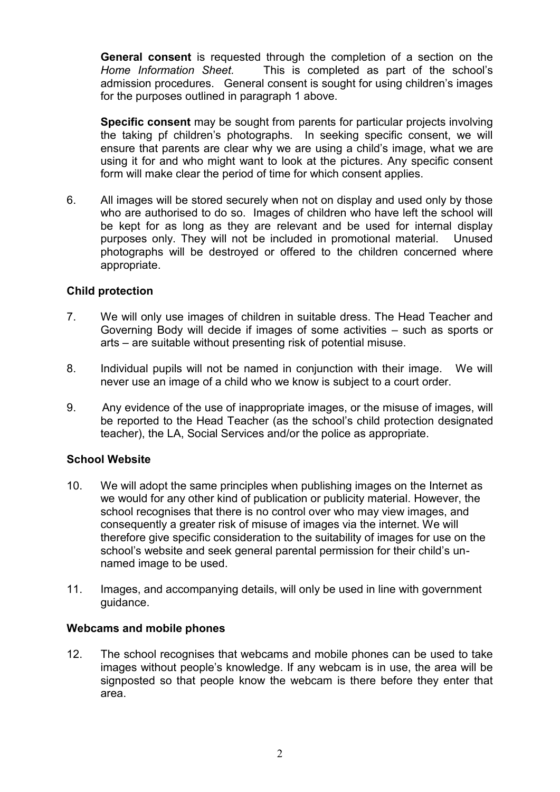**General consent** is requested through the completion of a section on the *Home Information Sheet.* This is completed as part of the school's admission procedures. General consent is sought for using children's images for the purposes outlined in paragraph 1 above.

**Specific consent** may be sought from parents for particular projects involving the taking pf children's photographs. In seeking specific consent, we will ensure that parents are clear why we are using a child's image, what we are using it for and who might want to look at the pictures. Any specific consent form will make clear the period of time for which consent applies.

6. All images will be stored securely when not on display and used only by those who are authorised to do so. Images of children who have left the school will be kept for as long as they are relevant and be used for internal display purposes only. They will not be included in promotional material. Unused photographs will be destroyed or offered to the children concerned where appropriate.

#### **Child protection**

- 7. We will only use images of children in suitable dress. The Head Teacher and Governing Body will decide if images of some activities – such as sports or arts – are suitable without presenting risk of potential misuse.
- 8. Individual pupils will not be named in conjunction with their image. We will never use an image of a child who we know is subject to a court order.
- 9. Any evidence of the use of inappropriate images, or the misuse of images, will be reported to the Head Teacher (as the school's child protection designated teacher), the LA, Social Services and/or the police as appropriate.

#### **School Website**

- 10. We will adopt the same principles when publishing images on the Internet as we would for any other kind of publication or publicity material. However, the school recognises that there is no control over who may view images, and consequently a greater risk of misuse of images via the internet. We will therefore give specific consideration to the suitability of images for use on the school's website and seek general parental permission for their child's unnamed image to be used.
- 11. Images, and accompanying details, will only be used in line with government guidance.

#### **Webcams and mobile phones**

12. The school recognises that webcams and mobile phones can be used to take images without people's knowledge. If any webcam is in use, the area will be signposted so that people know the webcam is there before they enter that area.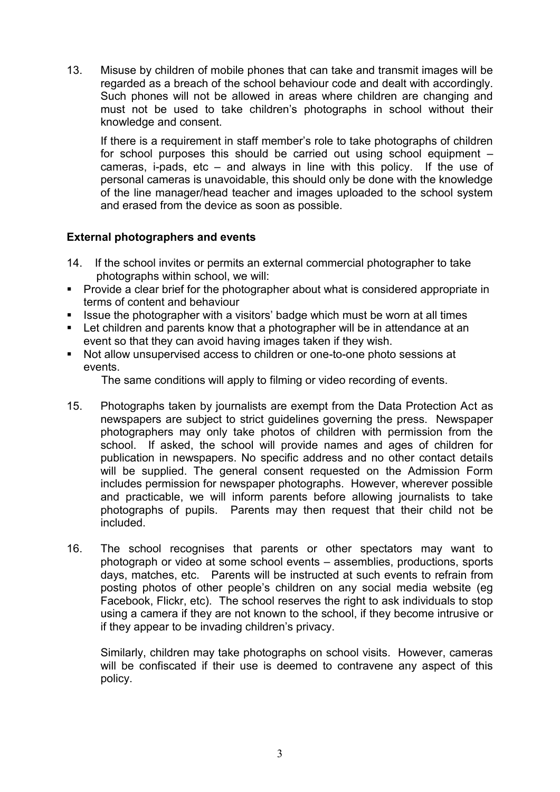13. Misuse by children of mobile phones that can take and transmit images will be regarded as a breach of the school behaviour code and dealt with accordingly. Such phones will not be allowed in areas where children are changing and must not be used to take children's photographs in school without their knowledge and consent.

If there is a requirement in staff member's role to take photographs of children for school purposes this should be carried out using school equipment – cameras, i-pads, etc – and always in line with this policy. If the use of personal cameras is unavoidable, this should only be done with the knowledge of the line manager/head teacher and images uploaded to the school system and erased from the device as soon as possible.

#### **External photographers and events**

- 14. If the school invites or permits an external commercial photographer to take photographs within school, we will:
- **Provide a clear brief for the photographer about what is considered appropriate in** terms of content and behaviour
- I Issue the photographer with a visitors' badge which must be worn at all times
- **EXECT** Let children and parents know that a photographer will be in attendance at an event so that they can avoid having images taken if they wish.
- Not allow unsupervised access to children or one-to-one photo sessions at events.

The same conditions will apply to filming or video recording of events.

- 15. Photographs taken by journalists are exempt from the Data Protection Act as newspapers are subject to strict guidelines governing the press. Newspaper photographers may only take photos of children with permission from the school. If asked, the school will provide names and ages of children for publication in newspapers. No specific address and no other contact details will be supplied. The general consent requested on the Admission Form includes permission for newspaper photographs. However, wherever possible and practicable, we will inform parents before allowing journalists to take photographs of pupils. Parents may then request that their child not be included.
- 16. The school recognises that parents or other spectators may want to photograph or video at some school events – assemblies, productions, sports days, matches, etc. Parents will be instructed at such events to refrain from posting photos of other people's children on any social media website (eg Facebook, Flickr, etc). The school reserves the right to ask individuals to stop using a camera if they are not known to the school, if they become intrusive or if they appear to be invading children's privacy.

Similarly, children may take photographs on school visits. However, cameras will be confiscated if their use is deemed to contravene any aspect of this policy.